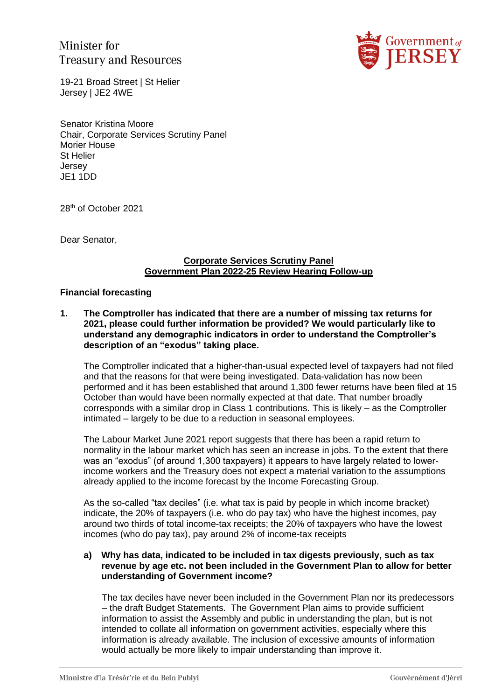Minister for **Treasury and Resources** 



19-21 Broad Street | St Helier Jersey | JE2 4WE

Senator Kristina Moore Chair, Corporate Services Scrutiny Panel Morier House St Helier Jersey JE1 1DD

28th of October 2021

Dear Senator,

#### **Corporate Services Scrutiny Panel Government Plan 2022-25 Review Hearing Follow-up**

#### **Financial forecasting**

**1. The Comptroller has indicated that there are a number of missing tax returns for 2021, please could further information be provided? We would particularly like to understand any demographic indicators in order to understand the Comptroller's description of an "exodus" taking place.**

The Comptroller indicated that a higher-than-usual expected level of taxpayers had not filed and that the reasons for that were being investigated. Data-validation has now been performed and it has been established that around 1,300 fewer returns have been filed at 15 October than would have been normally expected at that date. That number broadly corresponds with a similar drop in Class 1 contributions. This is likely – as the Comptroller intimated – largely to be due to a reduction in seasonal employees.

The Labour Market June 2021 report suggests that there has been a rapid return to normality in the labour market which has seen an increase in jobs. To the extent that there was an "exodus" (of around 1,300 taxpayers) it appears to have largely related to lowerincome workers and the Treasury does not expect a material variation to the assumptions already applied to the income forecast by the Income Forecasting Group.

As the so-called "tax deciles" (i.e. what tax is paid by people in which income bracket) indicate, the 20% of taxpayers (i.e. who do pay tax) who have the highest incomes, pay around two thirds of total income-tax receipts; the 20% of taxpayers who have the lowest incomes (who do pay tax), pay around 2% of income-tax receipts

#### **a) Why has data, indicated to be included in tax digests previously, such as tax revenue by age etc. not been included in the Government Plan to allow for better understanding of Government income?**

The tax deciles have never been included in the Government Plan nor its predecessors – the draft Budget Statements. The Government Plan aims to provide sufficient information to assist the Assembly and public in understanding the plan, but is not intended to collate all information on government activities, especially where this information is already available. The inclusion of excessive amounts of information would actually be more likely to impair understanding than improve it.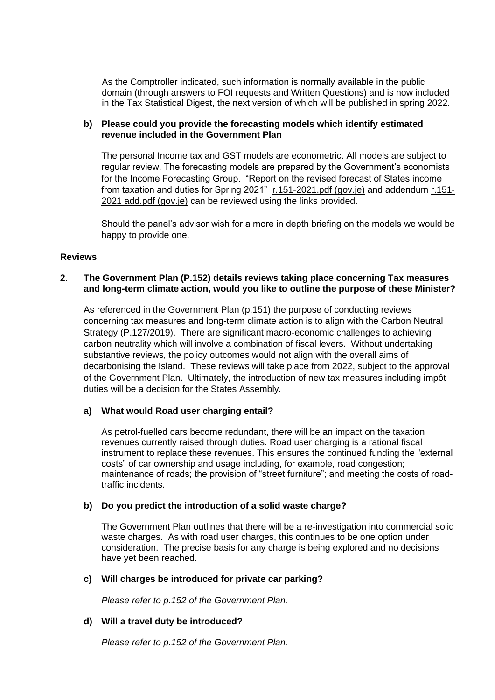As the Comptroller indicated, such information is normally available in the public domain (through answers to FOI requests and Written Questions) and is now included in the Tax Statistical Digest, the next version of which will be published in spring 2022.

### **b) Please could you provide the forecasting models which identify estimated revenue included in the Government Plan**

The personal Income tax and GST models are econometric. All models are subject to regular review. The forecasting models are prepared by the Government's economists for the Income Forecasting Group. "Report on the revised forecast of States income from taxation and duties for Spring 2021" [r.151-2021.pdf \(gov.je\)](https://statesassembly.gov.je/assemblyreports/2021/r.151-2021.pdf) and addendum [r.151-](https://statesassembly.gov.je/assemblyreports/2021/r.151-2021%20add.pdf) [2021 add.pdf \(gov.je\)](https://statesassembly.gov.je/assemblyreports/2021/r.151-2021%20add.pdf) can be reviewed using the links provided.

Should the panel's advisor wish for a more in depth briefing on the models we would be happy to provide one.

### **Reviews**

### **2. The Government Plan (P.152) details reviews taking place concerning Tax measures and long-term climate action, would you like to outline the purpose of these Minister?**

As referenced in the Government Plan (p.151) the purpose of conducting reviews concerning tax measures and long-term climate action is to align with the Carbon Neutral Strategy (P.127/2019). There are significant macro-economic challenges to achieving carbon neutrality which will involve a combination of fiscal levers. Without undertaking substantive reviews, the policy outcomes would not align with the overall aims of decarbonising the Island. These reviews will take place from 2022, subject to the approval of the Government Plan. Ultimately, the introduction of new tax measures including impôt duties will be a decision for the States Assembly*.*

### **a) What would Road user charging entail?**

As petrol-fuelled cars become redundant, there will be an impact on the taxation revenues currently raised through duties. Road user charging is a rational fiscal instrument to replace these revenues. This ensures the continued funding the "external costs" of car ownership and usage including, for example, road congestion; maintenance of roads; the provision of "street furniture"; and meeting the costs of roadtraffic incidents.

### **b) Do you predict the introduction of a solid waste charge?**

The Government Plan outlines that there will be a re-investigation into commercial solid waste charges. As with road user charges, this continues to be one option under consideration. The precise basis for any charge is being explored and no decisions have yet been reached.

### **c) Will charges be introduced for private car parking?**

*Please refer to p.152 of the Government Plan.*

#### **d) Will a travel duty be introduced?**

*Please refer to p.152 of the Government Plan.*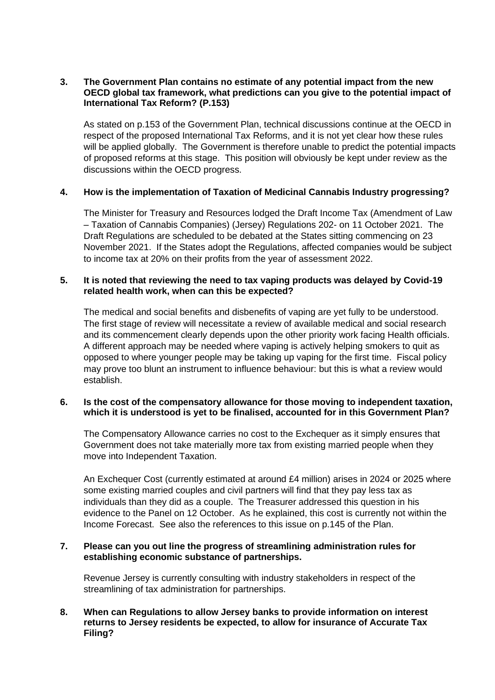#### **3. The Government Plan contains no estimate of any potential impact from the new OECD global tax framework, what predictions can you give to the potential impact of International Tax Reform? (P.153)**

As stated on p.153 of the Government Plan, technical discussions continue at the OECD in respect of the proposed International Tax Reforms, and it is not yet clear how these rules will be applied globally. The Government is therefore unable to predict the potential impacts of proposed reforms at this stage. This position will obviously be kept under review as the discussions within the OECD progress.

### **4. How is the implementation of Taxation of Medicinal Cannabis Industry progressing?**

The Minister for Treasury and Resources lodged the Draft Income Tax (Amendment of Law – Taxation of Cannabis Companies) (Jersey) Regulations 202- on 11 October 2021. The Draft Regulations are scheduled to be debated at the States sitting commencing on 23 November 2021. If the States adopt the Regulations, affected companies would be subject to income tax at 20% on their profits from the year of assessment 2022.

### **5. It is noted that reviewing the need to tax vaping products was delayed by Covid-19 related health work, when can this be expected?**

The medical and social benefits and disbenefits of vaping are yet fully to be understood. The first stage of review will necessitate a review of available medical and social research and its commencement clearly depends upon the other priority work facing Health officials. A different approach may be needed where vaping is actively helping smokers to quit as opposed to where younger people may be taking up vaping for the first time. Fiscal policy may prove too blunt an instrument to influence behaviour: but this is what a review would establish.

#### **6. Is the cost of the compensatory allowance for those moving to independent taxation, which it is understood is yet to be finalised, accounted for in this Government Plan?**

The Compensatory Allowance carries no cost to the Exchequer as it simply ensures that Government does not take materially more tax from existing married people when they move into Independent Taxation.

An Exchequer Cost (currently estimated at around £4 million) arises in 2024 or 2025 where some existing married couples and civil partners will find that they pay less tax as individuals than they did as a couple. The Treasurer addressed this question in his evidence to the Panel on 12 October. As he explained, this cost is currently not within the Income Forecast. See also the references to this issue on p.145 of the Plan.

#### **7. Please can you out line the progress of streamlining administration rules for establishing economic substance of partnerships.**

Revenue Jersey is currently consulting with industry stakeholders in respect of the streamlining of tax administration for partnerships.

### **8. When can Regulations to allow Jersey banks to provide information on interest returns to Jersey residents be expected, to allow for insurance of Accurate Tax Filing?**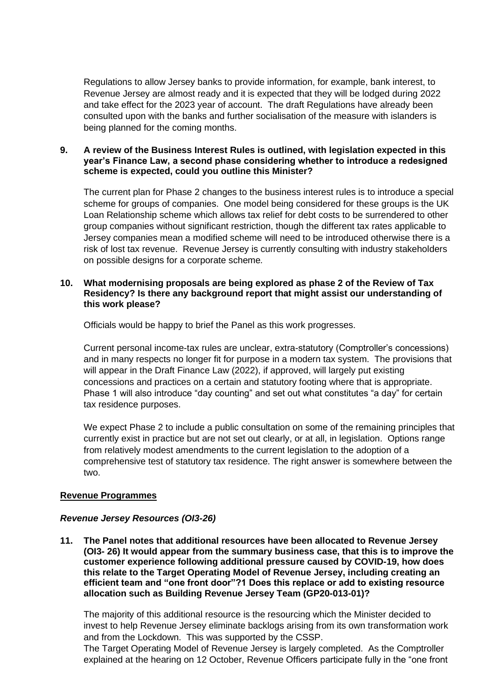Regulations to allow Jersey banks to provide information, for example, bank interest, to Revenue Jersey are almost ready and it is expected that they will be lodged during 2022 and take effect for the 2023 year of account. The draft Regulations have already been consulted upon with the banks and further socialisation of the measure with islanders is being planned for the coming months.

#### **9. A review of the Business Interest Rules is outlined, with legislation expected in this year's Finance Law, a second phase considering whether to introduce a redesigned scheme is expected, could you outline this Minister?**

The current plan for Phase 2 changes to the business interest rules is to introduce a special scheme for groups of companies. One model being considered for these groups is the UK Loan Relationship scheme which allows tax relief for debt costs to be surrendered to other group companies without significant restriction, though the different tax rates applicable to Jersey companies mean a modified scheme will need to be introduced otherwise there is a risk of lost tax revenue. Revenue Jersey is currently consulting with industry stakeholders on possible designs for a corporate scheme*.*

#### **10. What modernising proposals are being explored as phase 2 of the Review of Tax Residency? Is there any background report that might assist our understanding of this work please?**

Officials would be happy to brief the Panel as this work progresses.

Current personal income-tax rules are unclear, extra-statutory (Comptroller's concessions) and in many respects no longer fit for purpose in a modern tax system. The provisions that will appear in the Draft Finance Law (2022), if approved, will largely put existing concessions and practices on a certain and statutory footing where that is appropriate. Phase 1 will also introduce "day counting" and set out what constitutes "a day" for certain tax residence purposes.

We expect Phase 2 to include a public consultation on some of the remaining principles that currently exist in practice but are not set out clearly, or at all, in legislation. Options range from relatively modest amendments to the current legislation to the adoption of a comprehensive test of statutory tax residence. The right answer is somewhere between the two.

### **Revenue Programmes**

### *Revenue Jersey Resources (OI3-26)*

**11. The Panel notes that additional resources have been allocated to Revenue Jersey (OI3- 26) It would appear from the summary business case, that this is to improve the customer experience following additional pressure caused by COVID-19, how does this relate to the Target Operating Model of Revenue Jersey, including creating an efficient team and "one front door"?1 Does this replace or add to existing resource allocation such as Building Revenue Jersey Team (GP20-013-01)?**

The majority of this additional resource is the resourcing which the Minister decided to invest to help Revenue Jersey eliminate backlogs arising from its own transformation work and from the Lockdown. This was supported by the CSSP.

The Target Operating Model of Revenue Jersey is largely completed. As the Comptroller explained at the hearing on 12 October, Revenue Officers participate fully in the "one front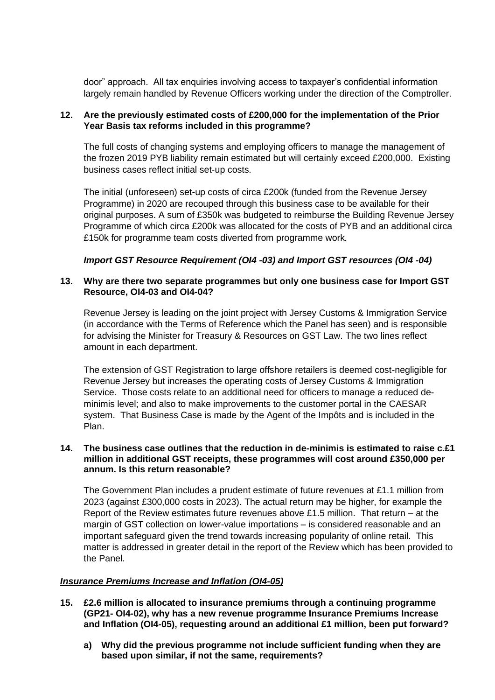door" approach. All tax enquiries involving access to taxpayer's confidential information largely remain handled by Revenue Officers working under the direction of the Comptroller.

### **12. Are the previously estimated costs of £200,000 for the implementation of the Prior Year Basis tax reforms included in this programme?**

The full costs of changing systems and employing officers to manage the management of the frozen 2019 PYB liability remain estimated but will certainly exceed £200,000. Existing business cases reflect initial set-up costs.

The initial (unforeseen) set-up costs of circa £200k (funded from the Revenue Jersey Programme) in 2020 are recouped through this business case to be available for their original purposes. A sum of £350k was budgeted to reimburse the Building Revenue Jersey Programme of which circa £200k was allocated for the costs of PYB and an additional circa £150k for programme team costs diverted from programme work*.* 

# *Import GST Resource Requirement (OI4 -03) and Import GST resources (OI4 -04)*

### **13. Why are there two separate programmes but only one business case for Import GST Resource, OI4-03 and OI4-04?**

Revenue Jersey is leading on the joint project with Jersey Customs & Immigration Service (in accordance with the Terms of Reference which the Panel has seen) and is responsible for advising the Minister for Treasury & Resources on GST Law. The two lines reflect amount in each department.

The extension of GST Registration to large offshore retailers is deemed cost-negligible for Revenue Jersey but increases the operating costs of Jersey Customs & Immigration Service. Those costs relate to an additional need for officers to manage a reduced deminimis level; and also to make improvements to the customer portal in the CAESAR system. That Business Case is made by the Agent of the Impôts and is included in the Plan.

#### **14. The business case outlines that the reduction in de-minimis is estimated to raise c.£1 million in additional GST receipts, these programmes will cost around £350,000 per annum. Is this return reasonable?**

The Government Plan includes a prudent estimate of future revenues at £1.1 million from 2023 (against £300,000 costs in 2023). The actual return may be higher, for example the Report of the Review estimates future revenues above £1.5 million. That return  $-$  at the margin of GST collection on lower-value importations – is considered reasonable and an important safeguard given the trend towards increasing popularity of online retail. This matter is addressed in greater detail in the report of the Review which has been provided to the Panel.

### *Insurance Premiums Increase and Inflation (OI4-05)*

- **15. £2.6 million is allocated to insurance premiums through a continuing programme (GP21- OI4-02), why has a new revenue programme Insurance Premiums Increase and Inflation (OI4-05), requesting around an additional £1 million, been put forward?** 
	- **a) Why did the previous programme not include sufficient funding when they are based upon similar, if not the same, requirements?**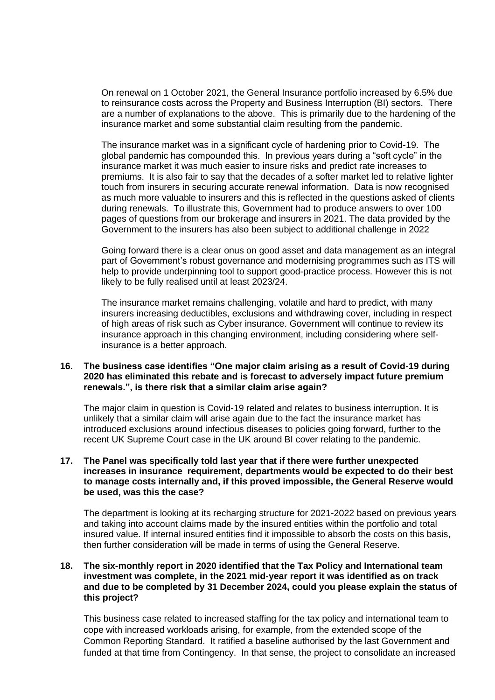On renewal on 1 October 2021, the General Insurance portfolio increased by 6.5% due to reinsurance costs across the Property and Business Interruption (BI) sectors. There are a number of explanations to the above. This is primarily due to the hardening of the insurance market and some substantial claim resulting from the pandemic.

The insurance market was in a significant cycle of hardening prior to Covid-19. The global pandemic has compounded this. In previous years during a "soft cycle" in the insurance market it was much easier to insure risks and predict rate increases to premiums. It is also fair to say that the decades of a softer market led to relative lighter touch from insurers in securing accurate renewal information. Data is now recognised as much more valuable to insurers and this is reflected in the questions asked of clients during renewals. To illustrate this, Government had to produce answers to over 100 pages of questions from our brokerage and insurers in 2021. The data provided by the Government to the insurers has also been subject to additional challenge in 2022

Going forward there is a clear onus on good asset and data management as an integral part of Government's robust governance and modernising programmes such as ITS will help to provide underpinning tool to support good-practice process. However this is not likely to be fully realised until at least 2023/24.

The insurance market remains challenging, volatile and hard to predict, with many insurers increasing deductibles, exclusions and withdrawing cover, including in respect of high areas of risk such as Cyber insurance. Government will continue to review its insurance approach in this changing environment, including considering where selfinsurance is a better approach.

#### **16. The business case identifies "One major claim arising as a result of Covid-19 during 2020 has eliminated this rebate and is forecast to adversely impact future premium renewals.", is there risk that a similar claim arise again?**

The major claim in question is Covid-19 related and relates to business interruption. It is unlikely that a similar claim will arise again due to the fact the insurance market has introduced exclusions around infectious diseases to policies going forward, further to the recent UK Supreme Court case in the UK around BI cover relating to the pandemic.

#### **17. The Panel was specifically told last year that if there were further unexpected increases in insurance requirement, departments would be expected to do their best to manage costs internally and, if this proved impossible, the General Reserve would be used, was this the case?**

The department is looking at its recharging structure for 2021-2022 based on previous years and taking into account claims made by the insured entities within the portfolio and total insured value. If internal insured entities find it impossible to absorb the costs on this basis, then further consideration will be made in terms of using the General Reserve.

#### **18. The six-monthly report in 2020 identified that the Tax Policy and International team investment was complete, in the 2021 mid-year report it was identified as on track and due to be completed by 31 December 2024, could you please explain the status of this project?**

This business case related to increased staffing for the tax policy and international team to cope with increased workloads arising, for example, from the extended scope of the Common Reporting Standard. It ratified a baseline authorised by the last Government and funded at that time from Contingency. In that sense, the project to consolidate an increased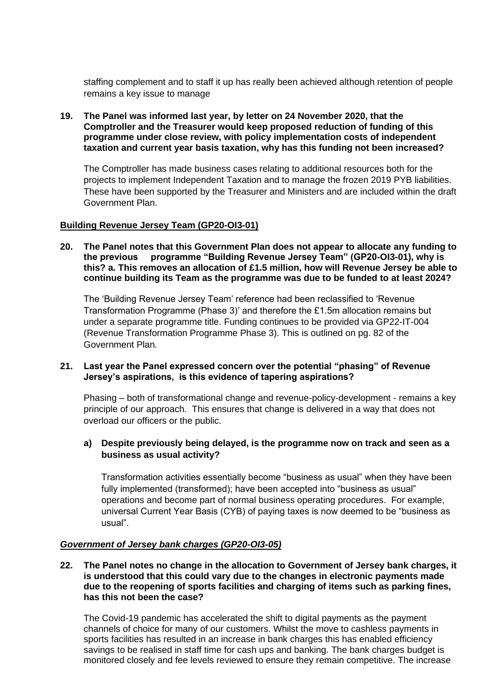staffing complement and to staff it up has really been achieved although retention of people remains a key issue to manage

**19. The Panel was informed last year, by letter on 24 November 2020, that the Comptroller and the Treasurer would keep proposed reduction of funding of this programme under close review, with policy implementation costs of independent taxation and current year basis taxation, why has this funding not been increased?**

The Comptroller has made business cases relating to additional resources both for the projects to implement Independent Taxation and to manage the frozen 2019 PYB liabilities. These have been supported by the Treasurer and Ministers and are included within the draft Government Plan.

### **Building Revenue Jersey Team (GP20-OI3-01)**

**20. The Panel notes that this Government Plan does not appear to allocate any funding to the previous programme "Building Revenue Jersey Team" (GP20-OI3-01), why is this? a. This removes an allocation of £1.5 million, how will Revenue Jersey be able to continue building its Team as the programme was due to be funded to at least 2024?**

The 'Building Revenue Jersey Team' reference had been reclassified to 'Revenue Transformation Programme (Phase 3)' and therefore the £1.5m allocation remains but under a separate programme title. Funding continues to be provided via GP22-IT-004 (Revenue Transformation Programme Phase 3). This is outlined on pg. 82 of the Government Plan*.*

#### **21. Last year the Panel expressed concern over the potential "phasing" of Revenue Jersey's aspirations, is this evidence of tapering aspirations?**

Phasing – both of transformational change and revenue-policy-development - remains a key principle of our approach. This ensures that change is delivered in a way that does not overload our officers or the public.

### **a) Despite previously being delayed, is the programme now on track and seen as a business as usual activity?**

Transformation activities essentially become "business as usual" when they have been fully implemented (transformed); have been accepted into "business as usual" operations and become part of normal business operating procedures. For example, universal Current Year Basis (CYB) of paying taxes is now deemed to be "business as usual".

#### *Government of Jersey bank charges (GP20-OI3-05)*

**22. The Panel notes no change in the allocation to Government of Jersey bank charges, it is understood that this could vary due to the changes in electronic payments made due to the reopening of sports facilities and charging of items such as parking fines, has this not been the case?**

The Covid-19 pandemic has accelerated the shift to digital payments as the payment channels of choice for many of our customers. Whilst the move to cashless payments in sports facilities has resulted in an increase in bank charges this has enabled efficiency savings to be realised in staff time for cash ups and banking. The bank charges budget is monitored closely and fee levels reviewed to ensure they remain competitive. The increase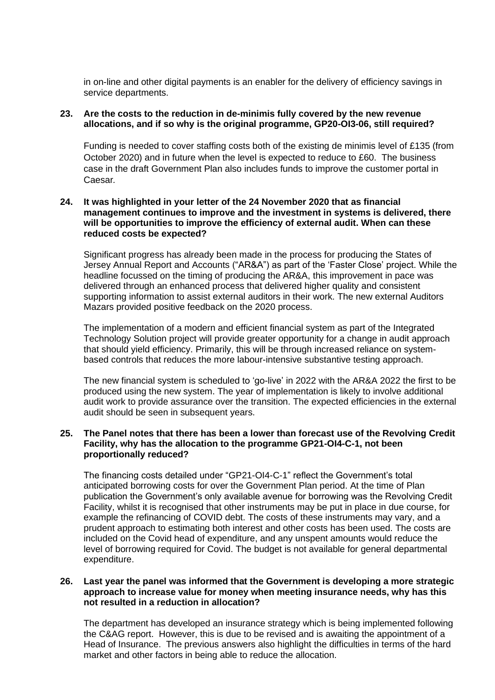in on-line and other digital payments is an enabler for the delivery of efficiency savings in service departments.

#### **23. Are the costs to the reduction in de-minimis fully covered by the new revenue allocations, and if so why is the original programme, GP20-OI3-06, still required?**

Funding is needed to cover staffing costs both of the existing de minimis level of £135 (from October 2020) and in future when the level is expected to reduce to £60. The business case in the draft Government Plan also includes funds to improve the customer portal in Caesar*.*

#### **24. It was highlighted in your letter of the 24 November 2020 that as financial management continues to improve and the investment in systems is delivered, there will be opportunities to improve the efficiency of external audit. When can these reduced costs be expected?**

Significant progress has already been made in the process for producing the States of Jersey Annual Report and Accounts ("AR&A") as part of the 'Faster Close' project. While the headline focussed on the timing of producing the AR&A, this improvement in pace was delivered through an enhanced process that delivered higher quality and consistent supporting information to assist external auditors in their work. The new external Auditors Mazars provided positive feedback on the 2020 process.

The implementation of a modern and efficient financial system as part of the Integrated Technology Solution project will provide greater opportunity for a change in audit approach that should yield efficiency. Primarily, this will be through increased reliance on systembased controls that reduces the more labour-intensive substantive testing approach.

The new financial system is scheduled to 'go-live' in 2022 with the AR&A 2022 the first to be produced using the new system. The year of implementation is likely to involve additional audit work to provide assurance over the transition. The expected efficiencies in the external audit should be seen in subsequent years.

#### **25. The Panel notes that there has been a lower than forecast use of the Revolving Credit Facility, why has the allocation to the programme GP21-OI4-C-1, not been proportionally reduced?**

The financing costs detailed under "GP21-OI4-C-1" reflect the Government's total anticipated borrowing costs for over the Government Plan period. At the time of Plan publication the Government's only available avenue for borrowing was the Revolving Credit Facility, whilst it is recognised that other instruments may be put in place in due course, for example the refinancing of COVID debt. The costs of these instruments may vary, and a prudent approach to estimating both interest and other costs has been used. The costs are included on the Covid head of expenditure, and any unspent amounts would reduce the level of borrowing required for Covid. The budget is not available for general departmental expenditure.

#### **26. Last year the panel was informed that the Government is developing a more strategic approach to increase value for money when meeting insurance needs, why has this not resulted in a reduction in allocation?**

The department has developed an insurance strategy which is being implemented following the C&AG report. However, this is due to be revised and is awaiting the appointment of a Head of Insurance. The previous answers also highlight the difficulties in terms of the hard market and other factors in being able to reduce the allocation.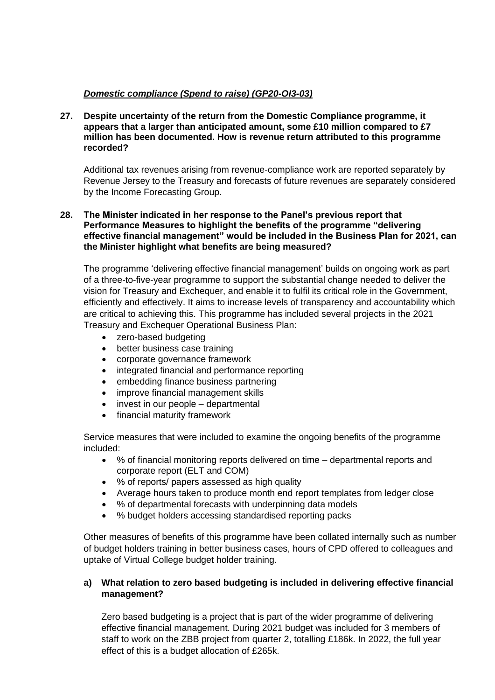# *Domestic compliance (Spend to raise) (GP20-OI3-03)*

**27. Despite uncertainty of the return from the Domestic Compliance programme, it appears that a larger than anticipated amount, some £10 million compared to £7 million has been documented. How is revenue return attributed to this programme recorded?**

Additional tax revenues arising from revenue-compliance work are reported separately by Revenue Jersey to the Treasury and forecasts of future revenues are separately considered by the Income Forecasting Group.

## **28. The Minister indicated in her response to the Panel's previous report that Performance Measures to highlight the benefits of the programme "delivering effective financial management" would be included in the Business Plan for 2021, can the Minister highlight what benefits are being measured?**

The programme 'delivering effective financial management' builds on ongoing work as part of a three-to-five-year programme to support the substantial change needed to deliver the vision for Treasury and Exchequer, and enable it to fulfil its critical role in the Government, efficiently and effectively. It aims to increase levels of transparency and accountability which are critical to achieving this. This programme has included several projects in the 2021 Treasury and Exchequer Operational Business Plan:

- zero-based budgeting
- better business case training
- corporate governance framework
- integrated financial and performance reporting
- embedding finance business partnering
- improve financial management skills
- invest in our people departmental
- financial maturity framework

Service measures that were included to examine the ongoing benefits of the programme included:

- % of financial monitoring reports delivered on time departmental reports and corporate report (ELT and COM)
- % of reports/ papers assessed as high quality
- Average hours taken to produce month end report templates from ledger close
- % of departmental forecasts with underpinning data models
- % budget holders accessing standardised reporting packs

Other measures of benefits of this programme have been collated internally such as number of budget holders training in better business cases, hours of CPD offered to colleagues and uptake of Virtual College budget holder training.

# **a) What relation to zero based budgeting is included in delivering effective financial management?**

Zero based budgeting is a project that is part of the wider programme of delivering effective financial management. During 2021 budget was included for 3 members of staff to work on the ZBB project from quarter 2, totalling £186k. In 2022, the full year effect of this is a budget allocation of £265k.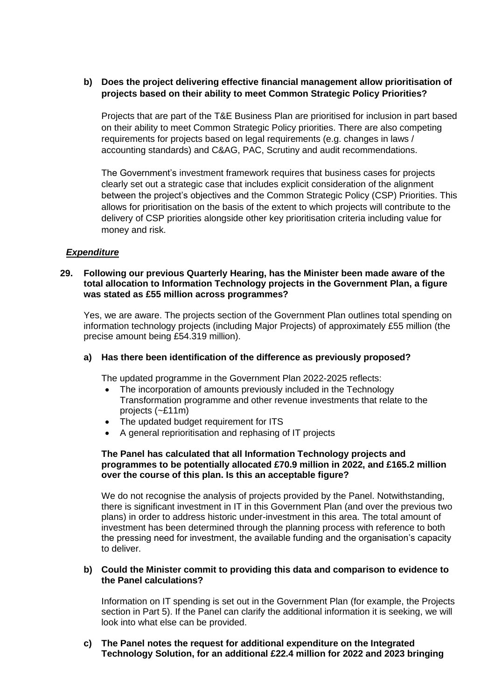# **b) Does the project delivering effective financial management allow prioritisation of projects based on their ability to meet Common Strategic Policy Priorities?**

Projects that are part of the T&E Business Plan are prioritised for inclusion in part based on their ability to meet Common Strategic Policy priorities. There are also competing requirements for projects based on legal requirements (e.g. changes in laws / accounting standards) and C&AG, PAC, Scrutiny and audit recommendations.

The Government's investment framework requires that business cases for projects clearly set out a strategic case that includes explicit consideration of the alignment between the project's objectives and the Common Strategic Policy (CSP) Priorities. This allows for prioritisation on the basis of the extent to which projects will contribute to the delivery of CSP priorities alongside other key prioritisation criteria including value for money and risk.

# *Expenditure*

#### **29. Following our previous Quarterly Hearing, has the Minister been made aware of the total allocation to Information Technology projects in the Government Plan, a figure was stated as £55 million across programmes?**

Yes, we are aware. The projects section of the Government Plan outlines total spending on information technology projects (including Major Projects) of approximately £55 million (the precise amount being £54.319 million).

### **a) Has there been identification of the difference as previously proposed?**

The updated programme in the Government Plan 2022-2025 reflects:

- The incorporation of amounts previously included in the Technology Transformation programme and other revenue investments that relate to the projects (~£11m)
- The updated budget requirement for ITS
- A general reprioritisation and rephasing of IT projects

#### **The Panel has calculated that all Information Technology projects and programmes to be potentially allocated £70.9 million in 2022, and £165.2 million over the course of this plan. Is this an acceptable figure?**

We do not recognise the analysis of projects provided by the Panel. Notwithstanding, there is significant investment in IT in this Government Plan (and over the previous two plans) in order to address historic under-investment in this area. The total amount of investment has been determined through the planning process with reference to both the pressing need for investment, the available funding and the organisation's capacity to deliver.

#### **b) Could the Minister commit to providing this data and comparison to evidence to the Panel calculations?**

Information on IT spending is set out in the Government Plan (for example, the Projects section in Part 5). If the Panel can clarify the additional information it is seeking, we will look into what else can be provided.

#### **c) The Panel notes the request for additional expenditure on the Integrated Technology Solution, for an additional £22.4 million for 2022 and 2023 bringing**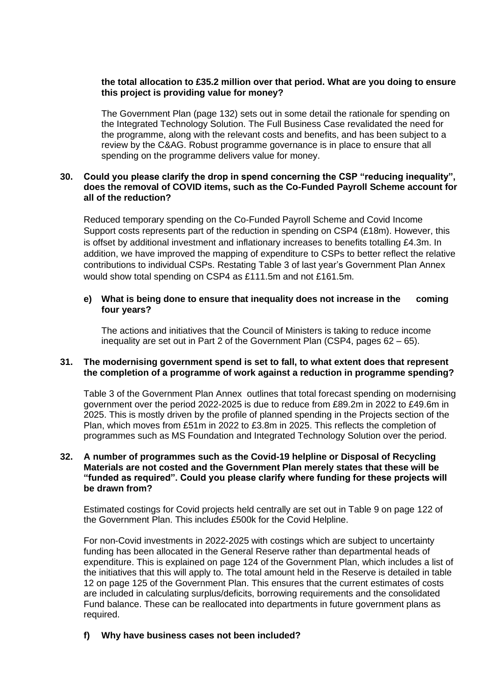#### **the total allocation to £35.2 million over that period. What are you doing to ensure this project is providing value for money?**

The Government Plan (page 132) sets out in some detail the rationale for spending on the Integrated Technology Solution. The Full Business Case revalidated the need for the programme, along with the relevant costs and benefits, and has been subject to a review by the C&AG. Robust programme governance is in place to ensure that all spending on the programme delivers value for money.

#### **30. Could you please clarify the drop in spend concerning the CSP "reducing inequality", does the removal of COVID items, such as the Co-Funded Payroll Scheme account for all of the reduction?**

Reduced temporary spending on the Co-Funded Payroll Scheme and Covid Income Support costs represents part of the reduction in spending on CSP4 (£18m). However, this is offset by additional investment and inflationary increases to benefits totalling £4.3m. In addition, we have improved the mapping of expenditure to CSPs to better reflect the relative contributions to individual CSPs. Restating Table 3 of last year's Government Plan Annex would show total spending on CSP4 as £111.5m and not £161.5m.

# **e) What is being done to ensure that inequality does not increase in the coming four years?**

The actions and initiatives that the Council of Ministers is taking to reduce income inequality are set out in Part 2 of the Government Plan (CSP4, pages 62 – 65).

#### **31. The modernising government spend is set to fall, to what extent does that represent the completion of a programme of work against a reduction in programme spending?**

Table 3 of the Government Plan Annex outlines that total forecast spending on modernising government over the period 2022-2025 is due to reduce from £89.2m in 2022 to £49.6m in 2025. This is mostly driven by the profile of planned spending in the Projects section of the Plan, which moves from £51m in 2022 to £3.8m in 2025. This reflects the completion of programmes such as MS Foundation and Integrated Technology Solution over the period.

#### **32. A number of programmes such as the Covid-19 helpline or Disposal of Recycling Materials are not costed and the Government Plan merely states that these will be "funded as required". Could you please clarify where funding for these projects will be drawn from?**

Estimated costings for Covid projects held centrally are set out in Table 9 on page 122 of the Government Plan. This includes £500k for the Covid Helpline.

For non-Covid investments in 2022-2025 with costings which are subject to uncertainty funding has been allocated in the General Reserve rather than departmental heads of expenditure. This is explained on page 124 of the Government Plan, which includes a list of the initiatives that this will apply to. The total amount held in the Reserve is detailed in table 12 on page 125 of the Government Plan. This ensures that the current estimates of costs are included in calculating surplus/deficits, borrowing requirements and the consolidated Fund balance. These can be reallocated into departments in future government plans as required.

### **f) Why have business cases not been included?**